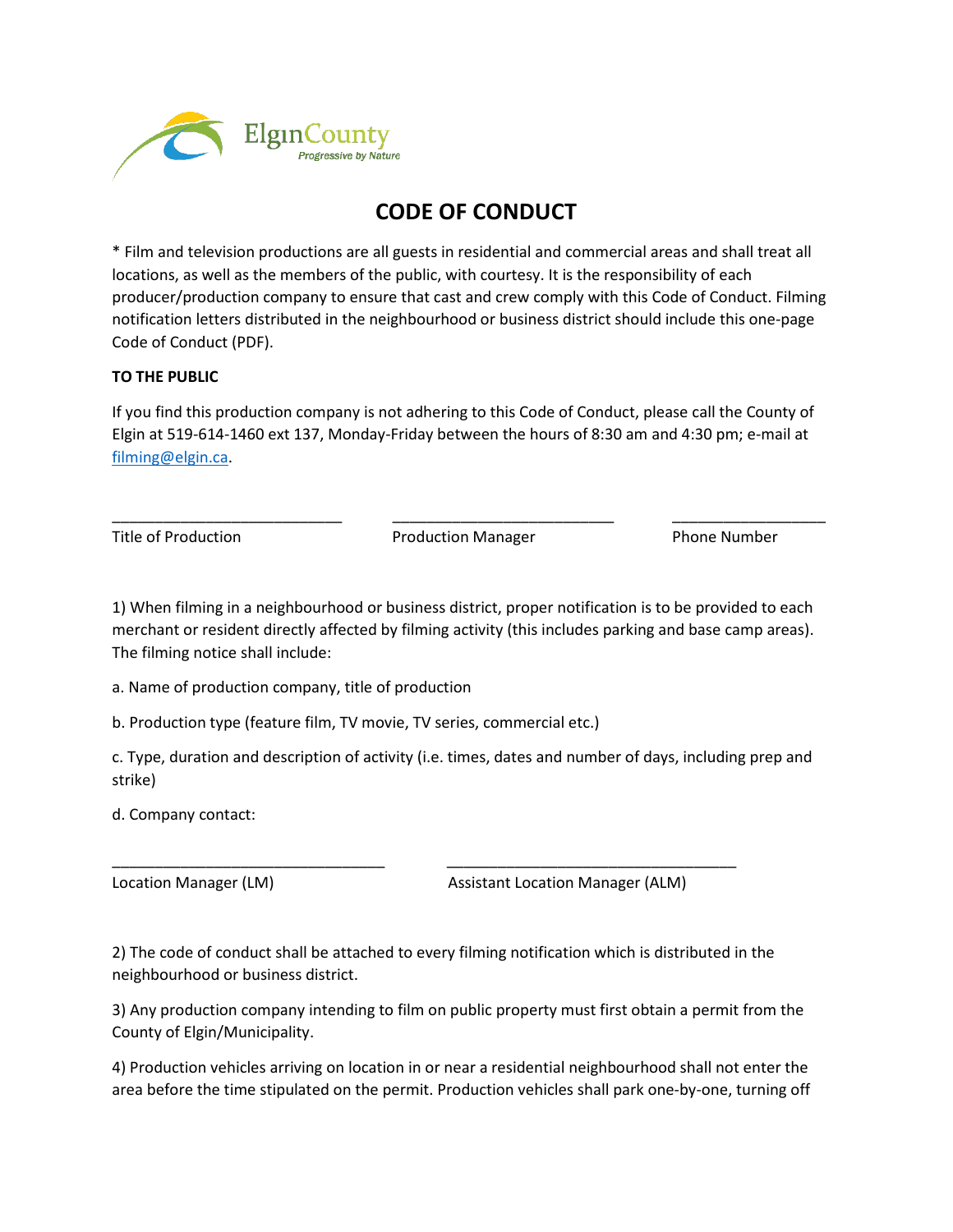

## **CODE OF CONDUCT**

\* Film and television productions are all guests in residential and commercial areas and shall treat all locations, as well as the members of the public, with courtesy. It is the responsibility of each producer/production company to ensure that cast and crew comply with this Code of Conduct. Filming notification letters distributed in the neighbourhood or business district should include this one-page Code of Conduct (PDF).

## **TO THE PUBLIC**

If you find this production company is not adhering to this Code of Conduct, please call the County of Elgin at 519-614-1460 ext 137, Monday-Friday between the hours of 8:30 am and 4:30 pm; e-mail at [filming@elgin.ca.](mailto:filming@elgin.ca)

\_\_\_\_\_\_\_\_\_\_\_\_\_\_\_\_\_\_\_\_\_\_\_\_\_\_\_ \_\_\_\_\_\_\_\_\_\_\_\_\_\_\_\_\_\_\_\_\_\_\_\_\_\_ \_\_\_\_\_\_\_\_\_\_\_\_\_\_\_\_\_\_ Title of Production **Production** Production Manager **Phone Number** Phone Number

1) When filming in a neighbourhood or business district, proper notification is to be provided to each merchant or resident directly affected by filming activity (this includes parking and base camp areas). The filming notice shall include:

a. Name of production company, title of production

b. Production type (feature film, TV movie, TV series, commercial etc.)

c. Type, duration and description of activity (i.e. times, dates and number of days, including prep and strike)

d. Company contact:

Location Manager (LM) and Assistant Location Manager (ALM)

2) The code of conduct shall be attached to every filming notification which is distributed in the neighbourhood or business district.

\_\_\_\_\_\_\_\_\_\_\_\_\_\_\_\_\_\_\_\_\_\_\_\_\_\_\_\_\_\_\_\_ \_\_\_\_\_\_\_\_\_\_\_\_\_\_\_\_\_\_\_\_\_\_\_\_\_\_\_\_\_\_\_\_\_\_

3) Any production company intending to film on public property must first obtain a permit from the County of Elgin/Municipality.

4) Production vehicles arriving on location in or near a residential neighbourhood shall not enter the area before the time stipulated on the permit. Production vehicles shall park one-by-one, turning off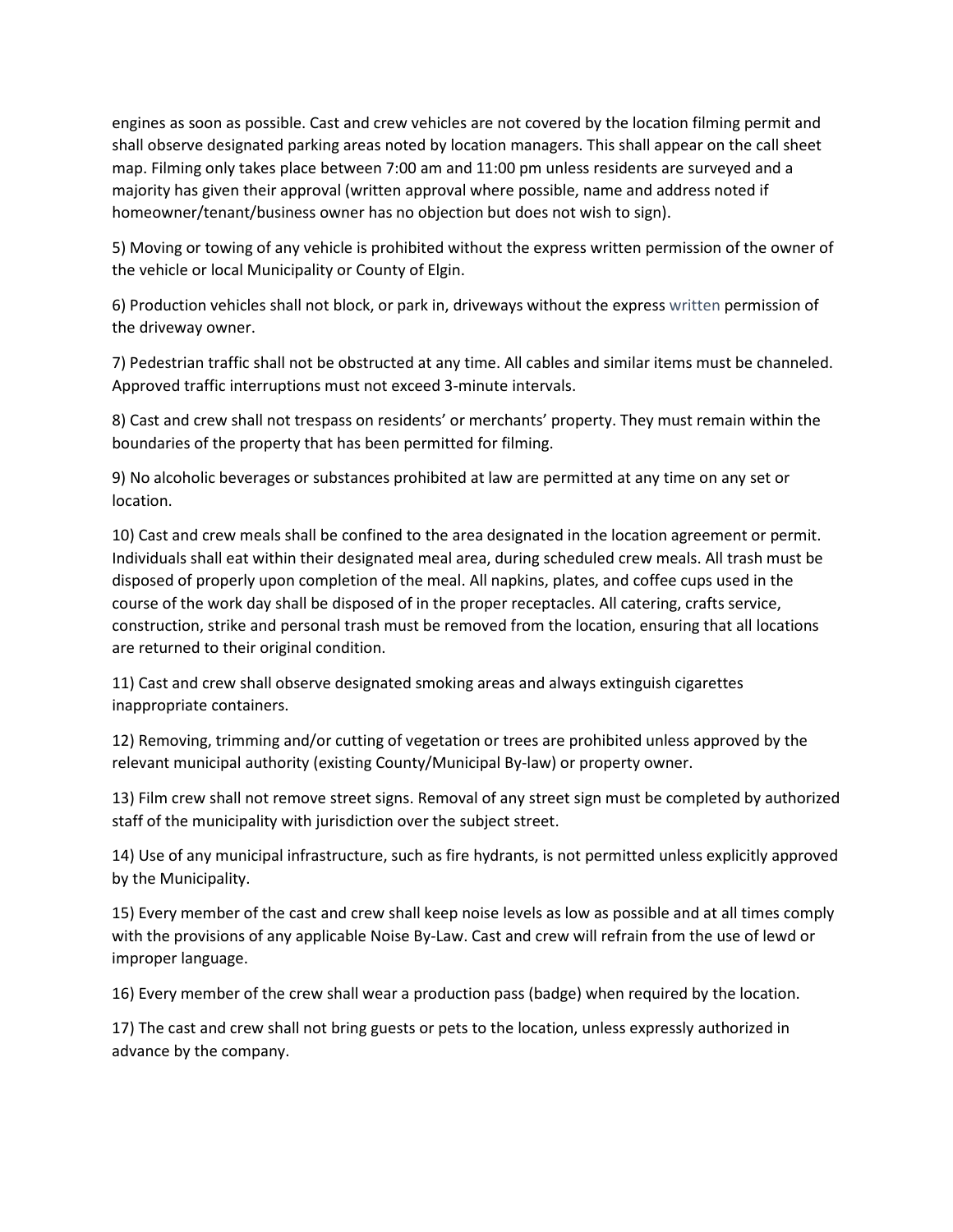engines as soon as possible. Cast and crew vehicles are not covered by the location filming permit and shall observe designated parking areas noted by location managers. This shall appear on the call sheet map. Filming only takes place between 7:00 am and 11:00 pm unless residents are surveyed and a majority has given their approval (written approval where possible, name and address noted if homeowner/tenant/business owner has no objection but does not wish to sign).

5) Moving or towing of any vehicle is prohibited without the express written permission of the owner of the vehicle or local Municipality or County of Elgin.

6) Production vehicles shall not block, or park in, driveways without the express written permission of the driveway owner.

7) Pedestrian traffic shall not be obstructed at any time. All cables and similar items must be channeled. Approved traffic interruptions must not exceed 3-minute intervals.

8) Cast and crew shall not trespass on residents' or merchants' property. They must remain within the boundaries of the property that has been permitted for filming.

9) No alcoholic beverages or substances prohibited at law are permitted at any time on any set or location.

10) Cast and crew meals shall be confined to the area designated in the location agreement or permit. Individuals shall eat within their designated meal area, during scheduled crew meals. All trash must be disposed of properly upon completion of the meal. All napkins, plates, and coffee cups used in the course of the work day shall be disposed of in the proper receptacles. All catering, crafts service, construction, strike and personal trash must be removed from the location, ensuring that all locations are returned to their original condition.

11) Cast and crew shall observe designated smoking areas and always extinguish cigarettes inappropriate containers.

12) Removing, trimming and/or cutting of vegetation or trees are prohibited unless approved by the relevant municipal authority (existing County/Municipal By-law) or property owner.

13) Film crew shall not remove street signs. Removal of any street sign must be completed by authorized staff of the municipality with jurisdiction over the subject street.

14) Use of any municipal infrastructure, such as fire hydrants, is not permitted unless explicitly approved by the Municipality.

15) Every member of the cast and crew shall keep noise levels as low as possible and at all times comply with the provisions of any applicable Noise By-Law. Cast and crew will refrain from the use of lewd or improper language.

16) Every member of the crew shall wear a production pass (badge) when required by the location.

17) The cast and crew shall not bring guests or pets to the location, unless expressly authorized in advance by the company.